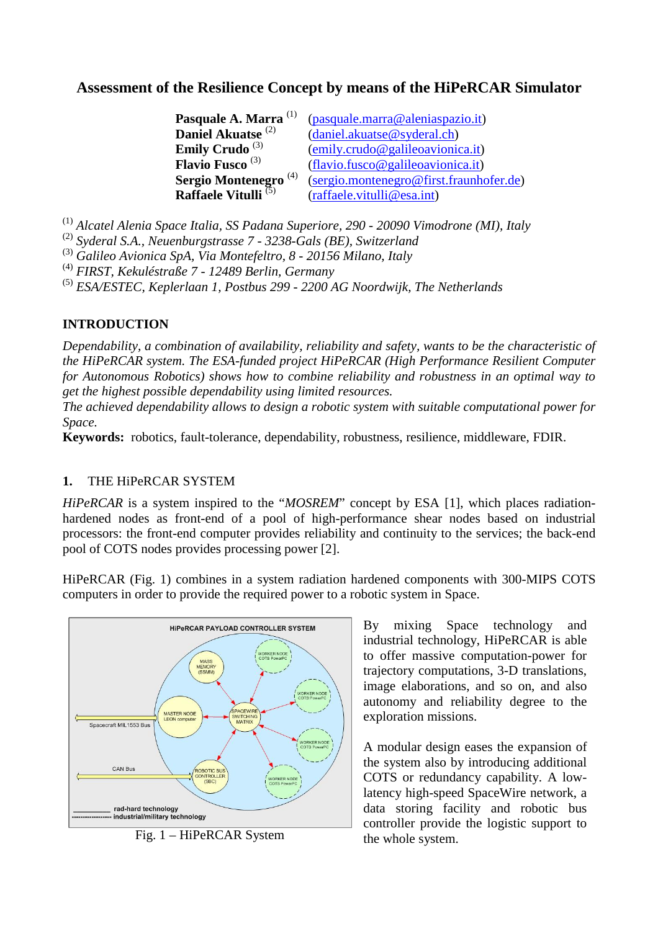# **Assessment of the Resilience Concept by means of the HiPeRCAR Simulator**

| Pasquale A. Marra <sup>(1)</sup>   | (pasquale.marra@aleniaspazio.it)                                         |
|------------------------------------|--------------------------------------------------------------------------|
| Daniel Akuatse <sup>(2)</sup>      | (daniel.akuatse@svderal.ch)                                              |
| <b>Emily Crudo</b> $^{(3)}$        | $(\text{emily}.\text{crudo}\,\textcircled{a} \text{galileoavionica.it})$ |
| <b>Flavio Fusco</b> <sup>(3)</sup> | (flavio.fusco@galileoavionica.it)                                        |
| Sergio Montenegro <sup>(4)</sup>   | (sergio.montenegro@first.fraunhofer.de)                                  |
| Raffaele Vitulli <sup>(5)</sup>    | (raffaele.vitulli@esa.int)                                               |

(1) *Alcatel Alenia Space Italia, SS Padana Superiore, 290 - 20090 Vimodrone (MI), Italy*

(2) *Syderal S.A., Neuenburgstrasse 7 - 3238-Gals (BE), Switzerland*

(3) *Galileo Avionica SpA, Via Montefeltro, 8 - 20156 Milano, Italy*

(4) *FIRST, Kekuléstraße 7 - 12489 Berlin, Germany*

(5) *ESA/ESTEC, Keplerlaan 1, Postbus 299 - 2200 AG Noordwijk, The Netherlands*

### **INTRODUCTION**

*Dependability, a combination of availability, reliability and safety, wants to be the characteristic of the HiPeRCAR system. The ESA-funded project HiPeRCAR (High Performance Resilient Computer for Autonomous Robotics) shows how to combine reliability and robustness in an optimal way to get the highest possible dependability using limited resources.* 

*The achieved dependability allows to design a robotic system with suitable computational power for Space.* 

**Keywords:** robotics, fault-tolerance, dependability, robustness, resilience, middleware, FDIR.

#### **1.** THE HiPeRCAR SYSTEM

*HiPeRCAR* is a system inspired to the "*MOSREM*" concept by ESA [1], which places radiationhardened nodes as front-end of a pool of high-performance shear nodes based on industrial processors: the front-end computer provides reliability and continuity to the services; the back-end pool of COTS nodes provides processing power [2].

HiPeRCAR (Fig. 1) combines in a system radiation hardened components with 300-MIPS COTS computers in order to provide the required power to a robotic system in Space.



Fig. 1 – HiPeRCAR System

By mixing Space technology and industrial technology, HiPeRCAR is able to offer massive computation-power for trajectory computations, 3-D translations, image elaborations, and so on, and also autonomy and reliability degree to the exploration missions.

A modular design eases the expansion of the system also by introducing additional COTS or redundancy capability. A lowlatency high-speed SpaceWire network, a data storing facility and robotic bus controller provide the logistic support to the whole system.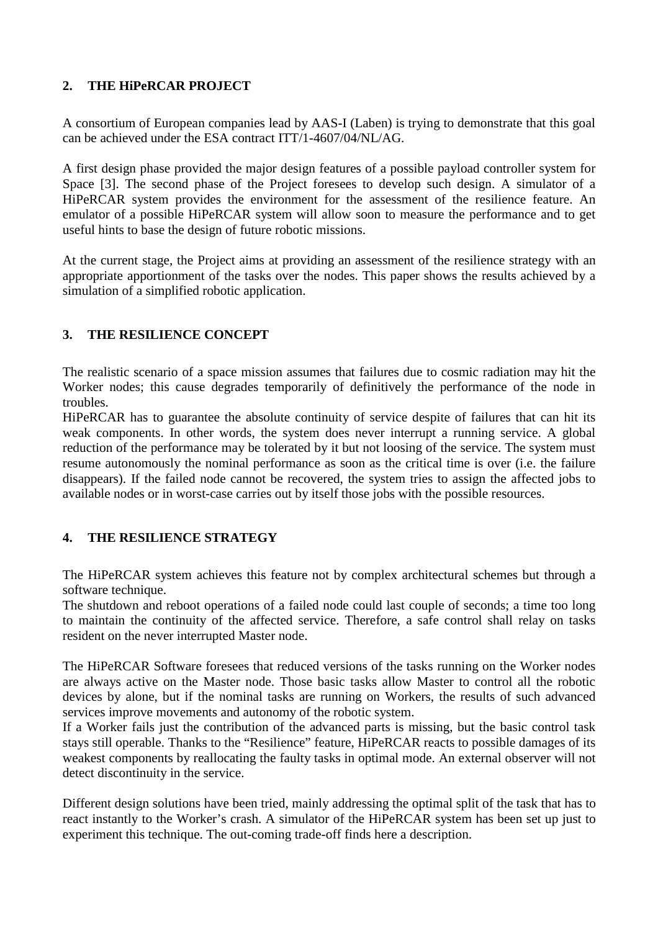### **2. THE HiPeRCAR PROJECT**

A consortium of European companies lead by AAS-I (Laben) is trying to demonstrate that this goal can be achieved under the ESA contract ITT/1-4607/04/NL/AG.

A first design phase provided the major design features of a possible payload controller system for Space [3]. The second phase of the Project foresees to develop such design. A simulator of a HiPeRCAR system provides the environment for the assessment of the resilience feature. An emulator of a possible HiPeRCAR system will allow soon to measure the performance and to get useful hints to base the design of future robotic missions.

At the current stage, the Project aims at providing an assessment of the resilience strategy with an appropriate apportionment of the tasks over the nodes. This paper shows the results achieved by a simulation of a simplified robotic application.

### **3. THE RESILIENCE CONCEPT**

The realistic scenario of a space mission assumes that failures due to cosmic radiation may hit the Worker nodes; this cause degrades temporarily of definitively the performance of the node in troubles.

HiPeRCAR has to guarantee the absolute continuity of service despite of failures that can hit its weak components. In other words, the system does never interrupt a running service. A global reduction of the performance may be tolerated by it but not loosing of the service. The system must resume autonomously the nominal performance as soon as the critical time is over (i.e. the failure disappears). If the failed node cannot be recovered, the system tries to assign the affected jobs to available nodes or in worst-case carries out by itself those jobs with the possible resources.

#### **4. THE RESILIENCE STRATEGY**

The HiPeRCAR system achieves this feature not by complex architectural schemes but through a software technique.

The shutdown and reboot operations of a failed node could last couple of seconds; a time too long to maintain the continuity of the affected service. Therefore, a safe control shall relay on tasks resident on the never interrupted Master node.

The HiPeRCAR Software foresees that reduced versions of the tasks running on the Worker nodes are always active on the Master node. Those basic tasks allow Master to control all the robotic devices by alone, but if the nominal tasks are running on Workers, the results of such advanced services improve movements and autonomy of the robotic system.

If a Worker fails just the contribution of the advanced parts is missing, but the basic control task stays still operable. Thanks to the "Resilience" feature, HiPeRCAR reacts to possible damages of its weakest components by reallocating the faulty tasks in optimal mode. An external observer will not detect discontinuity in the service.

Different design solutions have been tried, mainly addressing the optimal split of the task that has to react instantly to the Worker's crash. A simulator of the HiPeRCAR system has been set up just to experiment this technique. The out-coming trade-off finds here a description.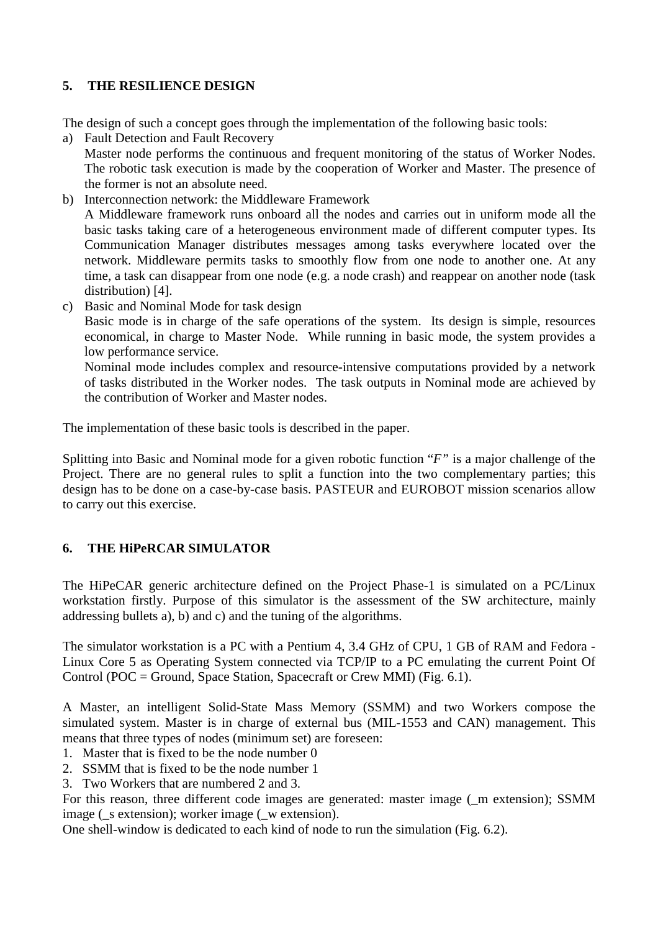### **5. THE RESILIENCE DESIGN**

The design of such a concept goes through the implementation of the following basic tools:

- a) Fault Detection and Fault Recovery Master node performs the continuous and frequent monitoring of the status of Worker Nodes. The robotic task execution is made by the cooperation of Worker and Master. The presence of the former is not an absolute need.
- b) Interconnection network: the Middleware Framework A Middleware framework runs onboard all the nodes and carries out in uniform mode all the basic tasks taking care of a heterogeneous environment made of different computer types. Its Communication Manager distributes messages among tasks everywhere located over the network. Middleware permits tasks to smoothly flow from one node to another one. At any time, a task can disappear from one node (e.g. a node crash) and reappear on another node (task distribution) [4].
- c) Basic and Nominal Mode for task design

Basic mode is in charge of the safe operations of the system. Its design is simple, resources economical, in charge to Master Node. While running in basic mode, the system provides a low performance service.

Nominal mode includes complex and resource-intensive computations provided by a network of tasks distributed in the Worker nodes. The task outputs in Nominal mode are achieved by the contribution of Worker and Master nodes.

The implementation of these basic tools is described in the paper.

Splitting into Basic and Nominal mode for a given robotic function "*F"* is a major challenge of the Project. There are no general rules to split a function into the two complementary parties; this design has to be done on a case-by-case basis. PASTEUR and EUROBOT mission scenarios allow to carry out this exercise.

## **6. THE HiPeRCAR SIMULATOR**

The HiPeCAR generic architecture defined on the Project Phase-1 is simulated on a PC/Linux workstation firstly. Purpose of this simulator is the assessment of the SW architecture, mainly addressing bullets a), b) and c) and the tuning of the algorithms.

The simulator workstation is a PC with a Pentium 4, 3.4 GHz of CPU, 1 GB of RAM and Fedora - Linux Core 5 as Operating System connected via TCP/IP to a PC emulating the current Point Of Control (POC = Ground, Space Station, Spacecraft or Crew MMI) (Fig.  $6.1$ ).

A Master, an intelligent Solid-State Mass Memory (SSMM) and two Workers compose the simulated system. Master is in charge of external bus (MIL-1553 and CAN) management. This means that three types of nodes (minimum set) are foreseen:

- 1. Master that is fixed to be the node number 0
- 2. SSMM that is fixed to be the node number 1
- 3. Two Workers that are numbered 2 and 3.

For this reason, three different code images are generated: master image (\_m extension); SSMM image ( $\,$ s extension); worker image ( $\,$ w extension).

One shell-window is dedicated to each kind of node to run the simulation (Fig. 6.2).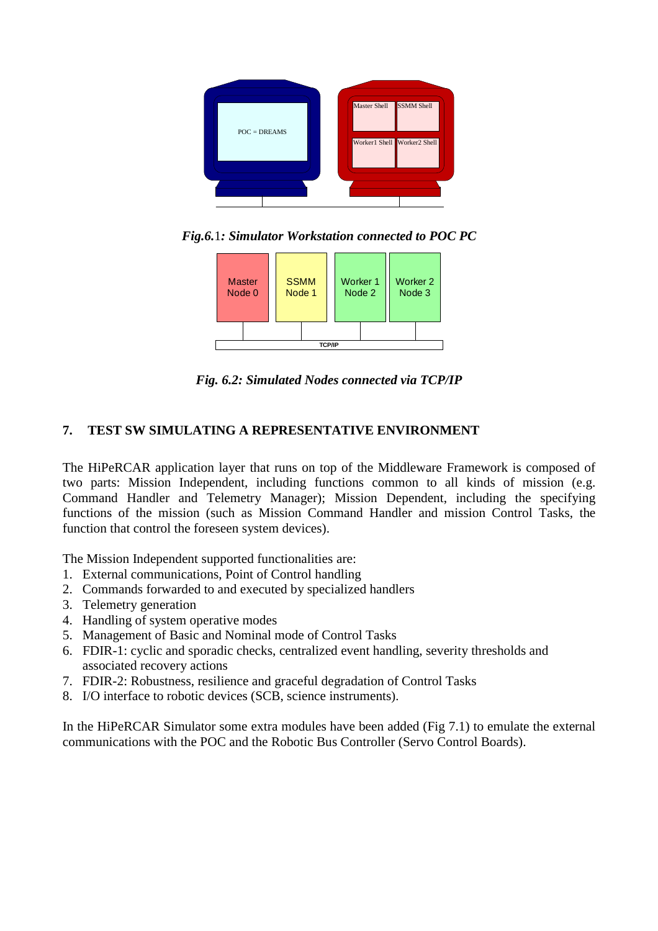

*Fig.6.*1*: Simulator Workstation connected to POC PC* 



*Fig. 6.2: Simulated Nodes connected via TCP/IP*

### **7. TEST SW SIMULATING A REPRESENTATIVE ENVIRONMENT**

The HiPeRCAR application layer that runs on top of the Middleware Framework is composed of two parts: Mission Independent, including functions common to all kinds of mission (e.g. Command Handler and Telemetry Manager); Mission Dependent, including the specifying functions of the mission (such as Mission Command Handler and mission Control Tasks, the function that control the foreseen system devices).

The Mission Independent supported functionalities are:

- 1. External communications, Point of Control handling
- 2. Commands forwarded to and executed by specialized handlers
- 3. Telemetry generation
- 4. Handling of system operative modes
- 5. Management of Basic and Nominal mode of Control Tasks
- 6. FDIR-1: cyclic and sporadic checks, centralized event handling, severity thresholds and associated recovery actions
- 7. FDIR-2: Robustness, resilience and graceful degradation of Control Tasks
- 8. I/O interface to robotic devices (SCB, science instruments).

In the HiPeRCAR Simulator some extra modules have been added (Fig 7.1) to emulate the external communications with the POC and the Robotic Bus Controller (Servo Control Boards).